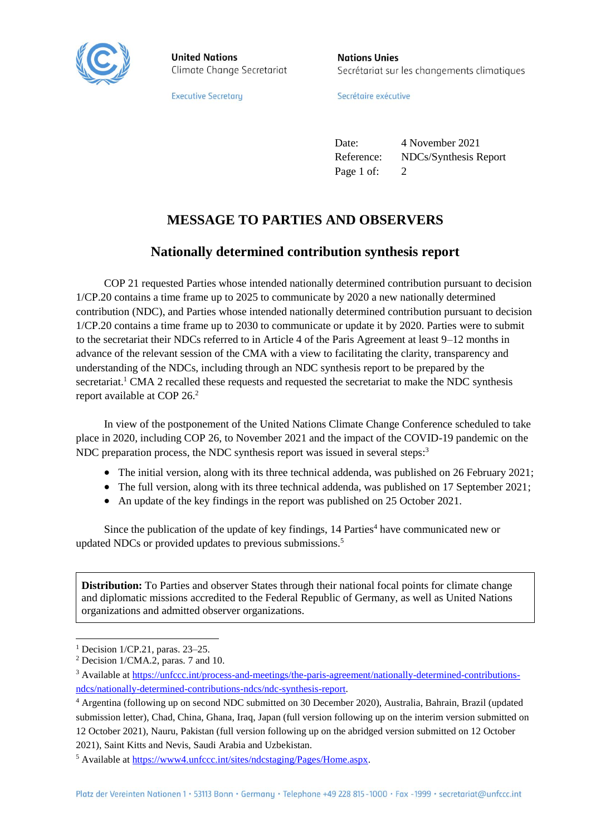

**United Nations** Climate Change Secretariat

**Executive Secretary** 

**Nations Unies** Secrétariat sur les changements climatiques

Secrétaire exécutive

Date: 4 November 2021 Reference: NDCs/Synthesis Report Page 1 of: 2

## **MESSAGE TO PARTIES AND OBSERVERS**

## **Nationally determined contribution synthesis report**

COP 21 requested Parties whose intended nationally determined contribution pursuant to decision 1/CP.20 contains a time frame up to 2025 to communicate by 2020 a new nationally determined contribution (NDC), and Parties whose intended nationally determined contribution pursuant to decision 1/CP.20 contains a time frame up to 2030 to communicate or update it by 2020. Parties were to submit to the secretariat their NDCs referred to in Article 4 of the Paris Agreement at least 9–12 months in advance of the relevant session of the CMA with a view to facilitating the clarity, transparency and understanding of the NDCs, including through an NDC synthesis report to be prepared by the secretariat.<sup>1</sup> CMA 2 recalled these requests and requested the secretariat to make the NDC synthesis report available at COP 26.<sup>2</sup>

In view of the postponement of the United Nations Climate Change Conference scheduled to take place in 2020, including COP 26, to November 2021 and the impact of the COVID-19 pandemic on the NDC preparation process, the NDC synthesis report was issued in several steps.<sup>3</sup>

- The initial version, along with its three technical addenda, was published on 26 February 2021;
- The full version, along with its three technical addenda, was published on 17 September 2021;
- An update of the key findings in the report was published on 25 October 2021.

Since the publication of the update of key findings,  $14$  Parties<sup>4</sup> have communicated new or updated NDCs or provided updates to previous submissions.<sup>5</sup>

**Distribution:** To Parties and observer States through their national focal points for climate change and diplomatic missions accredited to the Federal Republic of Germany, as well as United Nations organizations and admitted observer organizations.

 $\overline{a}$ 

<sup>&</sup>lt;sup>1</sup> Decision  $1/CP.21$ , paras. 23–25.

<sup>2</sup> Decision 1/CMA.2, paras. 7 and 10.

<sup>3</sup> Available at [https://unfccc.int/process-and-meetings/the-paris-agreement/nationally-determined-contributions](https://unfccc.int/process-and-meetings/the-paris-agreement/nationally-determined-contributions-ndcs/nationally-determined-contributions-ndcs/ndc-synthesis-report)[ndcs/nationally-determined-contributions-ndcs/ndc-synthesis-report.](https://unfccc.int/process-and-meetings/the-paris-agreement/nationally-determined-contributions-ndcs/nationally-determined-contributions-ndcs/ndc-synthesis-report)

<sup>4</sup> Argentina (following up on second NDC submitted on 30 December 2020), Australia, Bahrain, Brazil (updated submission letter), Chad, China, Ghana, Iraq, Japan (full version following up on the interim version submitted on 12 October 2021), Nauru, Pakistan (full version following up on the abridged version submitted on 12 October 2021), Saint Kitts and Nevis, Saudi Arabia and Uzbekistan.

<sup>5</sup> Available at [https://www4.unfccc.int/sites/ndcstaging/Pages/Home.aspx.](https://www4.unfccc.int/sites/ndcstaging/Pages/Home.aspx)